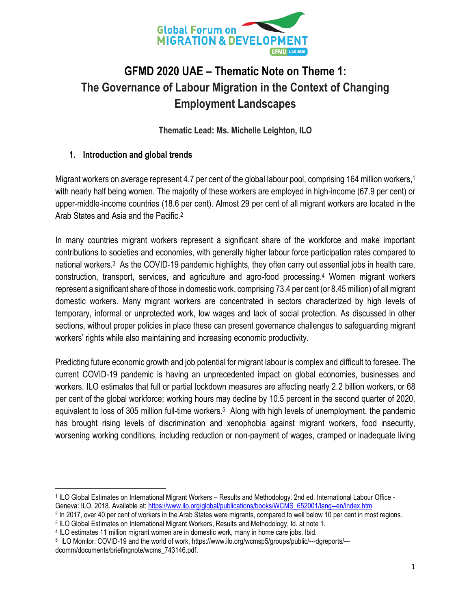

# **GFMD 2020 UAE – Thematic Note on Theme 1: The Governance of Labour Migration in the Context of Changing Employment Landscapes**

**Thematic Lead: Ms. Michelle Leighton, ILO**

## **1. Introduction and global trends**

Migrant workers on average represent 4.7 per cent of the global labour pool, comprising 164 million workers,<sup>1</sup> with nearly half being women. The majority of these workers are employed in high-income (67.9 per cent) or upper-middle-income countries (18.6 per cent). Almost 29 per cent of all migrant workers are located in the Arab States and Asia and the Pacific.<sup>2</sup>

In many countries migrant workers represent a significant share of the workforce and make important contributions to societies and economies, with generally higher labour force participation rates compared to national workers.<sup>3</sup> As the COVID-19 pandemic highlights, they often carry out essential jobs in health care, construction, transport, services, and agriculture and agro-food processing.<sup>4</sup> Women migrant workers represent a significant share of those in domestic work, comprising 73.4 per cent (or 8.45 million) of all migrant domestic workers. Many migrant workers are concentrated in sectors characterized by high levels of temporary, informal or unprotected work, low wages and lack of social protection. As discussed in other sections, without proper policies in place these can present governance challenges to safeguarding migrant workers' rights while also maintaining and increasing economic productivity.

Predicting future economic growth and job potential for migrant labour is complex and difficult to foresee. The current COVID-19 pandemic is having an unprecedented impact on global economies, businesses and workers. ILO estimates that full or partial lockdown measures are affecting nearly 2.2 billion workers, or 68 per cent of the global workforce; working hours may decline by 10.5 percent in the second quarter of 2020, equivalent to loss of 305 million full-time workers.<sup>5</sup> Along with high levels of unemployment, the pandemic has brought rising levels of discrimination and xenophobia against migrant workers, food insecurity, worsening working conditions, including reduction or non-payment of wages, cramped or inadequate living

 $\overline{a}$ 1 ILO Global Estimates on International Migrant Workers – Results and Methodology*.* 2nd ed. International Labour Office - Geneva: ILO, 2018*.* Available at: [https://www.ilo.org/global/publications/books/WCMS\\_652001/lang--en/index.htm](https://www.ilo.org/global/publications/books/WCMS_652001/lang--en/index.htm)

<sup>&</sup>lt;sup>2</sup> In 2017, over 40 per cent of workers in the Arab States were migrants, compared to well below 10 per cent in most regions.

<sup>3</sup> ILO Global Estimates on International Migrant Workers, Results and Methodology, Id. at note 1.

<sup>4</sup> ILO estimates 11 million migrant women are in domestic work, many in home care jobs. Ibid.

<sup>5</sup> ILO Monitor: COVID-19 and the world of work, https://www.ilo.org/wcmsp5/groups/public/---dgreports/-- dcomm/documents/briefingnote/wcms\_743146.pdf.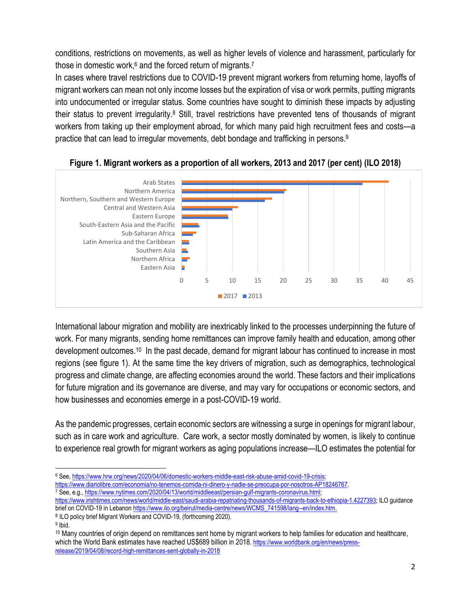conditions, restrictions on movements, as well as higher levels of violence and harassment, particularly for those in domestic work,<sup>6</sup> and the forced return of migrants.<sup>7</sup>

In cases where travel restrictions due to COVID-19 prevent migrant workers from returning home, layoffs of migrant workers can mean not only income losses but the expiration of visa or work permits, putting migrants into undocumented or irregular status. Some countries have sought to diminish these impacts by adjusting their status to prevent irregularity.<sup>8</sup> Still, travel restrictions have prevented tens of thousands of migrant workers from taking up their employment abroad, for which many paid high recruitment fees and costs—a practice that can lead to irregular movements, debt bondage and trafficking in persons. 9





International labour migration and mobility are inextricably linked to the processes underpinning the future of work. For many migrants, sending home remittances can improve family health and education, among other development outcomes.<sup>10</sup> In the past decade, demand for migrant labour has continued to increase in most regions (see figure 1). At the same time the key drivers of migration, such as demographics, technological progress and climate change, are affecting economies around the world. These factors and their implications for future migration and its governance are diverse, and may vary for occupations or economic sectors, and how businesses and economies emerge in a post-COVID-19 world.

As the pandemic progresses, certain economic sectors are witnessing a surge in openings for migrant labour, such as in care work and agriculture. Care work, a sector mostly dominated by women, is likely to continue to experience real growth for migrant workers as aging populations increase—ILO estimates the potential for

 $\overline{\phantom{a}}$ <sup>6</sup> See, [https://www.hrw.org/news/2020/04/06/domestic-workers-middle-east-risk-abuse-amid-covid-19-crisis;](https://www.hrw.org/news/2020/04/06/domestic-workers-middle-east-risk-abuse-amid-covid-19-crisis)

[https://www.diariolibre.com/economia/no-tenemos-comida-ni-dinero-y-nadie-se-preocupa-por-nosotros-AP18246767.](https://www.diariolibre.com/economia/no-tenemos-comida-ni-dinero-y-nadie-se-preocupa-por-nosotros-AP18246767)

<sup>7</sup> See, e.g.[, https://www.nytimes.com/2020/04/13/world/middleeast/persian-gulf-migrants-coronavirus.html;](https://www.nytimes.com/2020/04/13/world/middleeast/persian-gulf-migrants-coronavirus.html) [https://www.irishtimes.com/news/world/middle-east/saudi-arabia-repatriating-thousands-of-migrants-back-to-ethiopia-1.4227393;](https://www.irishtimes.com/news/world/middle-east/saudi-arabia-repatriating-thousands-of-migrants-back-to-ethiopia-1.4227393) ILO guidance brief on COVID-19 in Lebano[n https://www.ilo.org/beirut/media-centre/news/WCMS\\_741598/lang--en/index.htm.](https://www.ilo.org/beirut/media-centre/news/WCMS_741598/lang--en/index.htm)

<sup>&</sup>lt;sup>8</sup> ILO policy brief Migrant Workers and COVID-19, (forthcoming 2020).

<sup>&</sup>lt;sup>9</sup> Ibid.

<sup>&</sup>lt;sup>10</sup> Many countries of origin depend on remittances sent home by migrant workers to help families for education and healthcare, which the World Bank estimates have reached US\$689 billion in 2018. [https://www.worldbank.org/en/news/press](https://www.worldbank.org/en/news/press-release/2019/04/08/record-high-remittances-sent-globally-in-2018)[release/2019/04/08/record-high-remittances-sent-globally-in-2018](https://www.worldbank.org/en/news/press-release/2019/04/08/record-high-remittances-sent-globally-in-2018)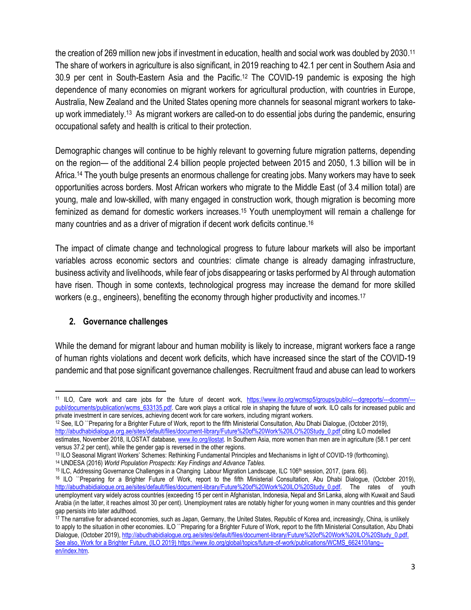the creation of 269 million new jobs if investment in education, health and social work was doubled by 2030.<sup>11</sup> The share of workers in agriculture is also significant, in 2019 reaching to 42.1 per cent in Southern Asia and 30.9 per cent in South-Eastern Asia and the Pacific. <sup>12</sup> The COVID-19 pandemic is exposing the high dependence of many economies on migrant workers for agricultural production, with countries in Europe, Australia, New Zealand and the United States opening more channels for seasonal migrant workers to takeup work immediately. <sup>13</sup> As migrant workers are called-on to do essential jobs during the pandemic, ensuring occupational safety and health is critical to their protection.

Demographic changes will continue to be highly relevant to governing future migration patterns, depending on the region— of the additional 2.4 billion people projected between 2015 and 2050, 1.3 billion will be in Africa. <sup>14</sup> The youth bulge presents an enormous challenge for creating jobs. Many workers may have to seek opportunities across borders. Most African workers who migrate to the Middle East (of 3.4 million total) are young, male and low-skilled, with many engaged in construction work, though migration is becoming more feminized as demand for domestic workers increases. <sup>15</sup> Youth unemployment will remain a challenge for many countries and as a driver of migration if decent work deficits continue. 16

The impact of climate change and technological progress to future labour markets will also be important variables across economic sectors and countries: climate change is already damaging infrastructure, business activity and livelihoods, while fear of jobs disappearing or tasks performed by AI through automation have risen. Though in some contexts, technological progress may increase the demand for more skilled workers (e.g., engineers), benefiting the economy through higher productivity and incomes.<sup>17</sup>

### **2. Governance challenges**

 $\overline{\phantom{a}}$ 

While the demand for migrant labour and human mobility is likely to increase, migrant workers face a range of human rights violations and decent work deficits, which have increased since the start of the COVID-19 pandemic and that pose significant governance challenges. Recruitment fraud and abuse can lead to workers

<sup>11</sup> ILO, Care work and care jobs for the future of decent work, [https://www.ilo.org/wcmsp5/groups/public/---dgreports/---dcomm/--](https://www.ilo.org/wcmsp5/groups/public/---dgreports/---dcomm/---publ/documents/publication/wcms_633135.pdf) [publ/documents/publication/wcms\\_633135.pdf.](https://www.ilo.org/wcmsp5/groups/public/---dgreports/---dcomm/---publ/documents/publication/wcms_633135.pdf) Care work plays a critical role in shaping the future of work. ILO calls for increased public and private investment in care services, achieving decent work for care workers, including migrant workers.

<sup>12</sup> See, ILO ``Preparing for a Brighter Future of Work, report to the fifth Ministerial Consultation, Abu Dhabi Dialogue, (October 2019), [http://abudhabidialogue.org.ae/sites/default/files/document-library/Future%20of%20Work%20ILO%20Study\\_0.pdf](http://abudhabidialogue.org.ae/sites/default/files/document-library/Future%20of%20Work%20ILO%20Study_0.pdf) citing ILO modelled

estimates, November 2018, ILOSTAT database[, www.ilo.org/ilostat.](http://www.ilo.org/ilostat) In Southern Asia, more women than men are in agriculture (58.1 per cent versus 37.2 per cent), while the gender gap is reversed in the other regions.

<sup>13</sup> ILO Seasonal Migrant Workers' Schemes: Rethinking Fundamental Principles and Mechanisms in light of COVID-19 (forthcoming). <sup>14</sup> UNDESA (2016) *World Population Prospects: Key Findings and Advance Tables.*

<sup>&</sup>lt;sup>15</sup> ILC, Addressing Governance Challenges in a Changing Labour Migration Landscape, ILC 106<sup>th</sup> session, 2017, (para. 66).

<sup>16</sup> ILO ``Preparing for a Brighter Future of Work, report to the fifth Ministerial Consultation, Abu Dhabi Dialogue, (October 2019), [http://abudhabidialogue.org.ae/sites/default/files/document-library/Future%20of%20Work%20ILO%20Study\\_0.pdf.](http://abudhabidialogue.org.ae/sites/default/files/document-library/Future%20of%20Work%20ILO%20Study_0.pdf) The rates of youth unemployment vary widely across countries (exceeding 15 per cent in Afghanistan, Indonesia, Nepal and Sri Lanka, along with Kuwait and Saudi Arabia (in the latter, it reaches almost 30 per cent). Unemployment rates are notably higher for young women in many countries and this gender gap persists into later adulthood.

<sup>&</sup>lt;sup>17</sup> The narrative for advanced economies, such as Japan, Germany, the United States, Republic of Korea and, increasingly, China, is unlikely to apply to the situation in other economies. ILO ``Preparing for a Brighter Future of Work, report to the fifth Ministerial Consultation, Abu Dhabi Dialogue, (October 2019), http://abudhabidialogue.org.ae/sites/default/files/document-library/Future%20of%20Work%20ILO%20Study\_0.pdf. See also, Work for a Brighter Future, (ILO 2019[\) https://www.ilo.org/global/topics/future-of-work/publications/WCMS\\_662410/lang-](https://www.ilo.org/global/topics/future-of-work/publications/WCMS_662410/lang--en/index.htm) [en/index.htm.](https://www.ilo.org/global/topics/future-of-work/publications/WCMS_662410/lang--en/index.htm)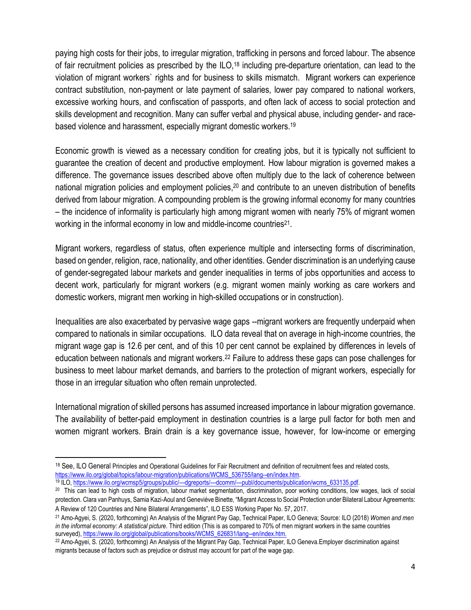paying high costs for their jobs, to irregular migration, trafficking in persons and forced labour. The absence of fair recruitment policies as prescribed by the ILO,<sup>18</sup> including pre-departure orientation, can lead to the violation of migrant workers` rights and for business to skills mismatch. Migrant workers can experience contract substitution, non-payment or late payment of salaries, lower pay compared to national workers, excessive working hours, and confiscation of passports, and often lack of access to social protection and skills development and recognition. Many can suffer verbal and physical abuse, including gender- and racebased violence and harassment, especially migrant domestic workers.<sup>19</sup>

Economic growth is viewed as a necessary condition for creating jobs, but it is typically not sufficient to guarantee the creation of decent and productive employment. How labour migration is governed makes a difference. The governance issues described above often multiply due to the lack of coherence between national migration policies and employment policies,<sup>20</sup> and contribute to an uneven distribution of benefits derived from labour migration. A compounding problem is the growing informal economy for many countries – the incidence of informality is particularly high among migrant women with nearly 75% of migrant women working in the informal economy in low and middle-income countries<sup>21</sup>.

Migrant workers, regardless of status, often experience multiple and intersecting forms of discrimination, based on gender, religion, race, nationality, and other identities. Gender discrimination is an underlying cause of gender-segregated labour markets and gender inequalities in terms of jobs opportunities and access to decent work, particularly for migrant workers (e.g. migrant women mainly working as care workers and domestic workers, migrant men working in high-skilled occupations or in construction).

Inequalities are also exacerbated by pervasive wage gaps --migrant workers are frequently underpaid when compared to nationals in similar occupations.ILO data reveal that on average in high-income countries, the migrant wage gap is 12.6 per cent, and of this 10 per cent cannot be explained by differences in levels of education between nationals and migrant workers.<sup>22</sup> Failure to address these gaps can pose challenges for business to meet labour market demands, and barriers to the protection of migrant workers, especially for those in an irregular situation who often remain unprotected.

International migration of skilled persons has assumed increased importance in labour migration governance. The availability of better-paid employment in destination countries is a large pull factor for both men and women migrant workers. Brain drain is a key governance issue, however, for low-income or emerging

<sup>19</sup> ILO, [https://www.ilo.org/wcmsp5/groups/public/---dgreports/---dcomm/---publ/documents/publication/wcms\\_633135.pdf.](https://www.ilo.org/wcmsp5/groups/public/---dgreports/---dcomm/---publ/documents/publication/wcms_633135.pdf)

 $\overline{\phantom{a}}$ 

<sup>&</sup>lt;sup>18</sup> See, ILO General Principles and Operational Guidelines for Fair Recruitment and definition of recruitment fees and related costs, [https://www.ilo.org/global/topics/labour-migration/publications/WCMS\\_536755/lang--en/index.htm.](https://www.ilo.org/global/topics/labour-migration/publications/WCMS_536755/lang--en/index.htm)

<sup>&</sup>lt;sup>20</sup> This can lead to high costs of migration, labour market segmentation, discrimination, poor working conditions, low wages, lack of social protection. Clara van Panhuys, Samia Kazi-Aoul and Geneviève Binette, "Migrant Access to Social Protection under Bilateral Labour Agreements: A Review of 120 Countries and Nine Bilateral Arrangements", ILO ESS Working Paper No. 57, 2017.

<sup>21</sup> Amo-Agyei, S. (2020, forthcoming) An Analysis of the Migrant Pay Gap, Technical Paper, ILO Geneva; Source: ILO (2018) *Women and men in the informal economy: A statistical picture*. Third edition (This is as compared to 70% of men migrant workers in the same countries surveyed)[, https://www.ilo.org/global/publications/books/WCMS\\_626831/lang--en/index.htm.](https://www.ilo.org/global/publications/books/WCMS_626831/lang--en/index.htm)

<sup>22</sup> Amo-Agyei, S. (2020, forthcoming) An Analysis of the Migrant Pay Gap, Technical Paper, ILO Geneva.Employer discrimination against migrants because of factors such as prejudice or distrust may account for part of the wage gap.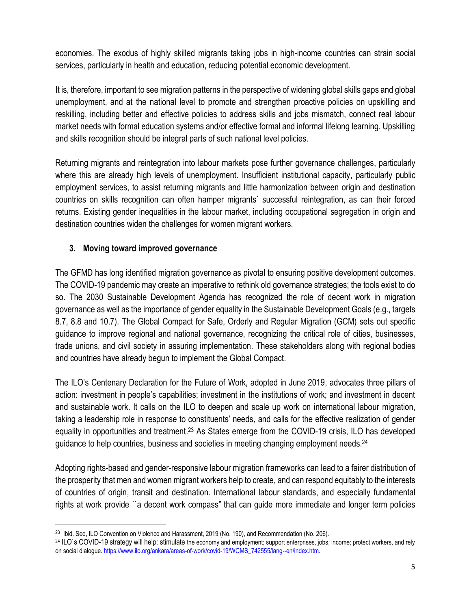economies. The exodus of highly skilled migrants taking jobs in high-income countries can strain social services, particularly in health and education, reducing potential economic development.

It is, therefore, important to see migration patterns in the perspective of widening global skills gaps and global unemployment, and at the national level to promote and strengthen proactive policies on upskilling and reskilling, including better and effective policies to address skills and jobs mismatch, connect real labour market needs with formal education systems and/or effective formal and informal lifelong learning. Upskilling and skills recognition should be integral parts of such national level policies.

Returning migrants and reintegration into labour markets pose further governance challenges, particularly where this are already high levels of unemployment. Insufficient institutional capacity, particularly public employment services, to assist returning migrants and little harmonization between origin and destination countries on skills recognition can often hamper migrants` successful reintegration, as can their forced returns. Existing gender inequalities in the labour market, including occupational segregation in origin and destination countries widen the challenges for women migrant workers.

### **3. Moving toward improved governance**

The GFMD has long identified migration governance as pivotal to ensuring positive development outcomes. The COVID-19 pandemic may create an imperative to rethink old governance strategies; the tools exist to do so. The 2030 Sustainable Development Agenda has recognized the role of decent work in migration governance as well as the importance of gender equality in the Sustainable Development Goals (e.g., targets 8.7, 8.8 and 10.7). The Global Compact for Safe, Orderly and Regular Migration (GCM) sets out specific guidance to improve regional and national governance, recognizing the critical role of cities, businesses, trade unions, and civil society in assuring implementation. These stakeholders along with regional bodies and countries have already begun to implement the Global Compact.

The ILO's Centenary Declaration for the Future of Work, adopted in June 2019, advocates three pillars of action: investment in people's capabilities; investment in the institutions of work; and investment in decent and sustainable work. It calls on the ILO to deepen and scale up work on international labour migration, taking a leadership role in response to constituents' needs, and calls for the effective realization of gender equality in opportunities and treatment. <sup>23</sup> As States emerge from the COVID-19 crisis, ILO has developed guidance to help countries, business and societies in meeting changing employment needs.<sup>24</sup>

Adopting rights-based and gender-responsive labour migration frameworks can lead to a fairer distribution of the prosperity that men and women migrant workers help to create, and can respond equitably to the interests of countries of origin, transit and destination. International labour standards, and especially fundamental rights at work provide ``a decent work compass" that can guide more immediate and longer term policies

 $\overline{\phantom{a}}$ 

<sup>&</sup>lt;sup>23</sup> Ibid. See, ILO Convention on Violence and Harassment, 2019 (No. 190), and Recommendation (No. 206).

<sup>24</sup> ILO`s COVID-19 strategy will help: stimulate the economy and employment; support enterprises, jobs, income; protect workers, and rely on social dialogue[. https://www.ilo.org/ankara/areas-of-work/covid-19/WCMS\\_742555/lang--en/index.htm.](https://www.ilo.org/ankara/areas-of-work/covid-19/WCMS_742555/lang--en/index.htm)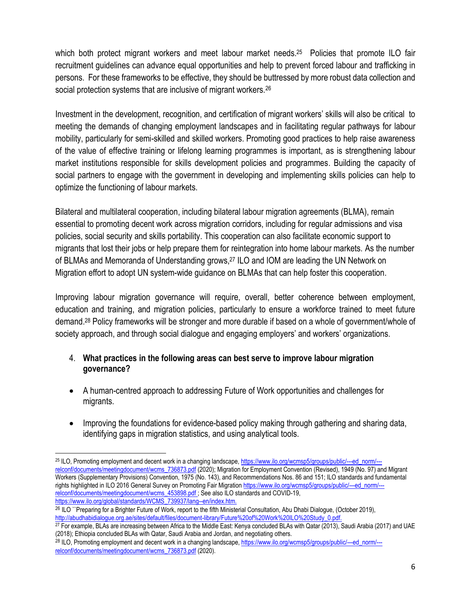which both protect migrant workers and meet labour market needs.<sup>25</sup> Policies that promote ILO fair recruitment guidelines can advance equal opportunities and help to prevent forced labour and trafficking in persons. For these frameworks to be effective, they should be buttressed by more robust data collection and social protection systems that are inclusive of migrant workers.<sup>26</sup>

Investment in the development, recognition, and certification of migrant workers' skills will also be critical to meeting the demands of changing employment landscapes and in facilitating regular pathways for labour mobility, particularly for semi-skilled and skilled workers. Promoting good practices to help raise awareness of the value of effective training or lifelong learning programmes is important, as is strengthening labour market institutions responsible for skills development policies and programmes. Building the capacity of social partners to engage with the government in developing and implementing skills policies can help to optimize the functioning of labour markets.

Bilateral and multilateral cooperation, including bilateral labour migration agreements (BLMA), remain essential to promoting decent work across migration corridors, including for regular admissions and visa policies, social security and skills portability. This cooperation can also facilitate economic support to migrants that lost their jobs or help prepare them for reintegration into home labour markets. As the number of BLMAs and Memoranda of Understanding grows,<sup>27</sup> ILO and IOM are leading the UN Network on Migration effort to adopt UN system-wide guidance on BLMAs that can help foster this cooperation.

Improving labour migration governance will require, overall, better coherence between employment, education and training, and migration policies, particularly to ensure a workforce trained to meet future demand. <sup>28</sup> Policy frameworks will be stronger and more durable if based on a whole of government/whole of society approach, and through social dialogue and engaging employers' and workers' organizations.

#### 4. **What practices in the following areas can best serve to improve labour migration governance?**

- A human-centred approach to addressing Future of Work opportunities and challenges for migrants.
- Improving the foundations for evidence-based policy making through gathering and sharing data, identifying gaps in migration statistics, and using analytical tools.

<sup>26</sup> ILO ``Preparing for a Brighter Future of Work, report to the fifth Ministerial Consultation, Abu Dhabi Dialogue, (October 2019), [http://abudhabidialogue.org.ae/sites/default/files/document-library/Future%20of%20Work%20ILO%20Study\\_0.pdf.](http://abudhabidialogue.org.ae/sites/default/files/document-library/Future%20of%20Work%20ILO%20Study_0.pdf)

 $\overline{\phantom{a}}$ <sup>25</sup> ILO, Promoting employment and decent work in a changing landscape[, https://www.ilo.org/wcmsp5/groups/public/---ed\\_norm/--](https://www.ilo.org/wcmsp5/groups/public/---ed_norm/---relconf/documents/meetingdocument/wcms_736873.pdf) [relconf/documents/meetingdocument/wcms\\_736873.pdf](https://www.ilo.org/wcmsp5/groups/public/---ed_norm/---relconf/documents/meetingdocument/wcms_736873.pdf) (2020); Migration for Employment Convention (Revised), 1949 (No. 97) and Migrant Workers (Supplementary Provisions) Convention, 1975 (No. 143), and Recommendations Nos. 86 and 151; ILO standards and fundamental rights highlighted in ILO 2016 General Survey on Promoting Fair Migration [https://www.ilo.org/wcmsp5/groups/public/---ed\\_norm/--](https://www.ilo.org/wcmsp5/groups/public/---ed_norm/---relconf/documents/meetingdocument/wcms_453898.pdf) [relconf/documents/meetingdocument/wcms\\_453898.pdf](https://www.ilo.org/wcmsp5/groups/public/---ed_norm/---relconf/documents/meetingdocument/wcms_453898.pdf); See also ILO standards and COVID-19, [https://www.ilo.org/global/standards/WCMS\\_739937/lang--en/index.htm.](https://www.ilo.org/global/standards/WCMS_739937/lang--en/index.htm)

 $27$  For example, BLAs are increasing between Africa to the Middle East: Kenya concluded BLAs with Qatar (2013), Saudi Arabia (2017) and UAE (2018); Ethiopia concluded BLAs with Qatar, Saudi Arabia and Jordan, and negotiating others.

<sup>28</sup> ILO, Promoting employment and decent work in a changing landscape, [https://www.ilo.org/wcmsp5/groups/public/---ed\\_norm/--](https://www.ilo.org/wcmsp5/groups/public/---ed_norm/---relconf/documents/meetingdocument/wcms_736873.pdf) [relconf/documents/meetingdocument/wcms\\_736873.pdf](https://www.ilo.org/wcmsp5/groups/public/---ed_norm/---relconf/documents/meetingdocument/wcms_736873.pdf) (2020).